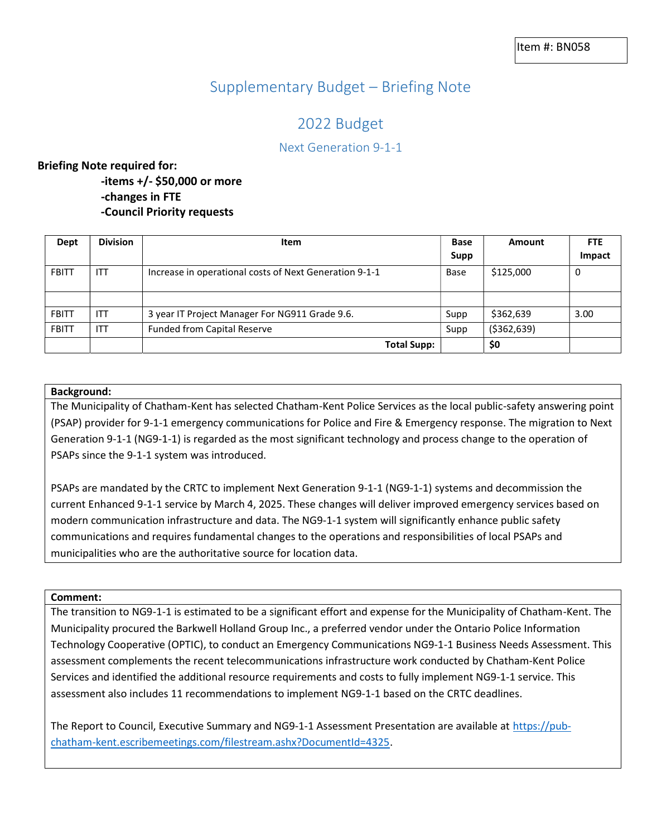# Supplementary Budget – Briefing Note

# 2022 Budget

## Next Generation 9-1-1

### Briefing Note required for:

 -items +/- \$50,000 or more -changes in FTE -Council Priority requests

| Dept         | <b>Division</b> | <b>Item</b>                                            | <b>Base</b> | Amount        | <b>FTE</b> |
|--------------|-----------------|--------------------------------------------------------|-------------|---------------|------------|
|              |                 |                                                        | Supp        |               | Impact     |
| <b>FBITT</b> | <b>ITT</b>      | Increase in operational costs of Next Generation 9-1-1 | Base        | \$125,000     | 0          |
|              |                 |                                                        |             |               |            |
|              |                 |                                                        |             |               |            |
| <b>FBITT</b> | <b>ITT</b>      | 3 year IT Project Manager For NG911 Grade 9.6.         | Supp        | \$362,639     | 3.00       |
| <b>FBITT</b> | ITT             | <b>Funded from Capital Reserve</b>                     | Supp        | ( \$362, 639) |            |
|              |                 | <b>Total Supp:</b>                                     |             | \$0           |            |

### Background:

 The Municipality of Chatham-Kent has selected Chatham-Kent Police Services as the local public-safety answering point (PSAP) provider for 9-1-1 emergency communications for Police and Fire & Emergency response. The migration to Next Generation 9-1-1 (NG9-1-1) is regarded as the most significant technology and process change to the operation of PSAPs since the 9-1-1 system was introduced.

 PSAPs are mandated by the CRTC to implement Next Generation 9-1-1 (NG9-1-1) systems and decommission the current Enhanced 9-1-1 service by March 4, 2025. These changes will deliver improved emergency services based on modern communication infrastructure and data. The NG9-1-1 system will significantly enhance public safety communications and requires fundamental changes to the operations and responsibilities of local PSAPs and municipalities who are the authoritative source for location data.

#### Comment:

 The transition to NG9-1-1 is estimated to be a significant effort and expense for the Municipality of Chatham-Kent. The Municipality procured the Barkwell Holland Group Inc., a preferred vendor under the Ontario Police Information Technology Cooperative (OPTIC), to conduct an Emergency Communications NG9-1-1 Business Needs Assessment. This assessment complements the recent telecommunications infrastructure work conducted by Chatham-Kent Police Services and identified the additional resource requirements and costs to fully implement NG9-1-1 service. This assessment also includes 11 recommendations to implement NG9-1-1 based on the CRTC deadlines.

The Report to Council, Executive Summary and NG9-1-1 Assessment Presentation are available at **https://pub**chatham-kent.escribemeetings.com/filestream.ashx?DocumentId=4325.